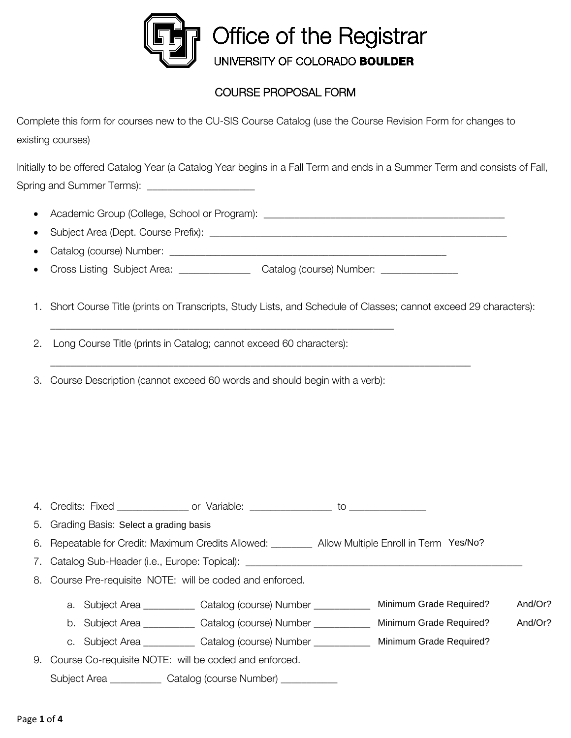

## COURSE PROPOSAL FORM

Complete this form for courses new to the CU-SIS Course Catalog (use the Course Revision Form for changes to existing courses)

Initially to be offered Catalog Year (a Catalog Year begins in a Fall Term and ends in a Summer Term and consists of Fall, Spring and Summer Terms): **Example 2014** 

- Academic Group (College, School or Program): \_\_\_\_\_\_\_\_\_\_\_\_\_\_\_\_\_\_\_\_\_\_\_\_\_\_\_\_\_\_\_\_\_\_\_\_\_\_\_\_\_\_\_\_\_\_\_
- Subject Area (Dept. Course Prefix):  $\blacksquare$
- Catalog (course) Number: \_\_\_\_\_\_\_\_\_\_\_\_\_\_\_\_\_\_\_\_\_\_\_\_\_\_\_\_\_\_\_\_\_\_\_\_\_\_\_\_\_\_\_\_\_\_\_\_\_\_\_\_\_\_
- Cross Listing Subject Area: \_\_\_\_\_\_\_\_\_\_\_\_\_\_\_ Catalog (course) Number: \_\_\_\_\_\_\_\_\_\_\_

\_\_\_\_\_\_\_\_\_\_\_\_\_\_\_\_\_\_\_\_\_\_\_\_\_\_\_\_\_\_\_\_\_\_\_\_\_\_\_\_\_\_\_\_\_\_\_\_\_\_\_\_\_\_\_\_\_\_\_\_\_\_\_\_\_\_\_

1. Short Course Title (prints on Transcripts, Study Lists, and Schedule of Classes; cannot exceed 29 characters):

\_\_\_\_\_\_\_\_\_\_\_\_\_\_\_\_\_\_\_\_\_\_\_\_\_\_\_\_\_\_\_\_\_\_\_\_\_\_\_\_\_\_\_\_\_\_\_\_\_\_\_\_\_\_\_\_\_\_\_\_\_\_\_\_\_\_\_\_\_\_\_\_\_\_\_\_\_\_\_\_\_\_

2. Long Course Title (prints in Catalog; cannot exceed 60 characters):

3. Course Description (cannot exceed 60 words and should begin with a verb):

| 4.<br>Credits: | $-i\vee\wedge\wedge'$<br><b>IAUL</b> | or | Variable. |  |  |
|----------------|--------------------------------------|----|-----------|--|--|
|----------------|--------------------------------------|----|-----------|--|--|

5. Grading Basis: Select a grading basis

- 6. Repeatable for Credit: Maximum Credits Allowed: \_\_\_\_\_\_\_\_ Allow Multiple Enroll in Term Yes/No?
- 7. Catalog Sub-Header (i.e., Europe: Topical): \_\_\_\_\_\_\_\_
- 8. Course Pre-requisite NOTE: will be coded and enforced.
	- a. Subject Area \_\_\_\_\_\_\_\_\_\_\_ Catalog (course) Number \_\_\_\_\_\_\_\_\_\_\_\_\_ Minimum Grade Required? And/Or?
	- b. Subject Area \_\_\_\_\_\_\_\_\_\_\_ Catalog (course) Number \_\_\_\_\_\_\_\_\_\_\_\_\_ Minimum Grade Required? And/Or?
	- c. Subject Area \_\_\_\_\_\_\_\_\_\_ Catalog (course) Number \_\_\_\_\_\_\_\_\_\_\_ Minimum Grade Required?
- 9. Course Co-requisite NOTE: will be coded and enforced. Subject Area \_\_\_\_\_\_\_\_\_\_\_ Catalog (course Number) \_\_\_\_\_\_\_\_\_\_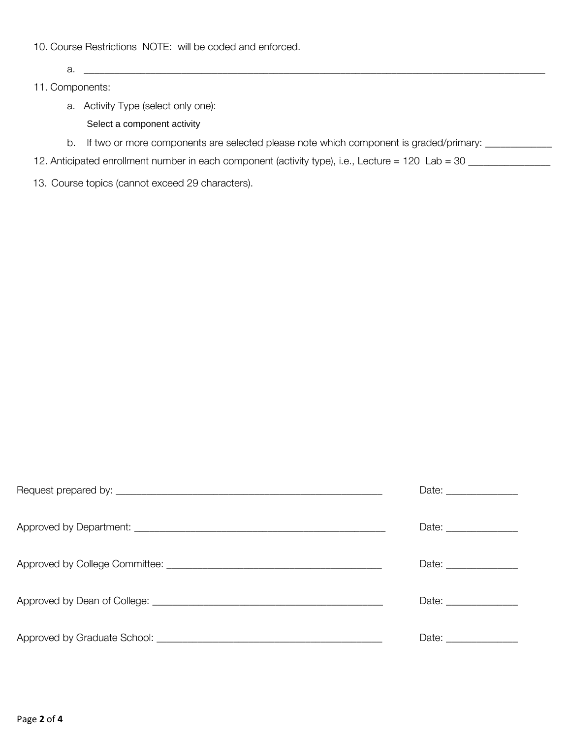- 10. Course Restrictions NOTE: will be coded and enforced.
	- a. \_\_\_\_\_\_\_\_\_\_\_\_\_\_\_\_\_\_\_\_\_\_\_\_\_\_\_\_\_\_\_\_\_\_\_\_\_\_\_\_\_\_\_\_\_\_\_\_\_\_\_\_\_\_\_\_\_\_\_\_\_\_\_\_\_\_\_\_\_\_\_\_\_\_\_\_\_\_\_\_\_\_\_\_\_\_\_\_\_\_
- 11. Components:
	- a. Activity Type (select only one):
		- Select a component activity
	- b. If two or more components are selected please note which component is graded/primary: \_\_\_\_\_\_\_\_\_\_\_
- 12. Anticipated enrollment number in each component (activity type), i.e., Lecture = 120 Lab = 30 \_\_\_\_\_\_\_\_\_\_\_
- 13. Course topics (cannot exceed 29 characters).

| Date: _______________ |
|-----------------------|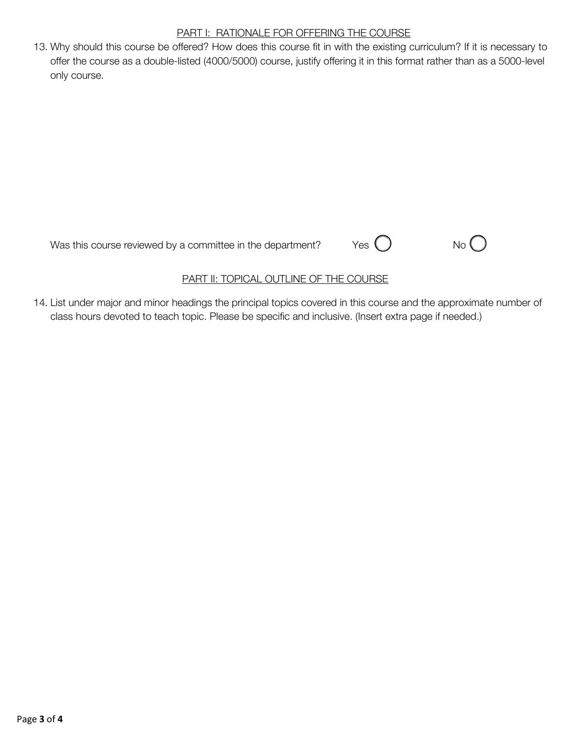## PART I: RATIONALE FOR OFFERING THE COURSE

13. Why should this course be offered? How does this course fit in with the existing curriculum? If it is necessary to offer the course as a double-listed (4000/5000) course, justify offering it in this format rather than as a 5000-level only course.

Was this course reviewed by a committee in the department?  $Y$ es  $\bigcirc$  No  $\bigcirc$ 





## PART II: TOPICAL OUTLINE OF THE COURSE

14. List under major and minor headings the principal topics covered in this course and the approximate number of class hours devoted to teach topic. Please be specific and inclusive. (Insert extra page if needed.)